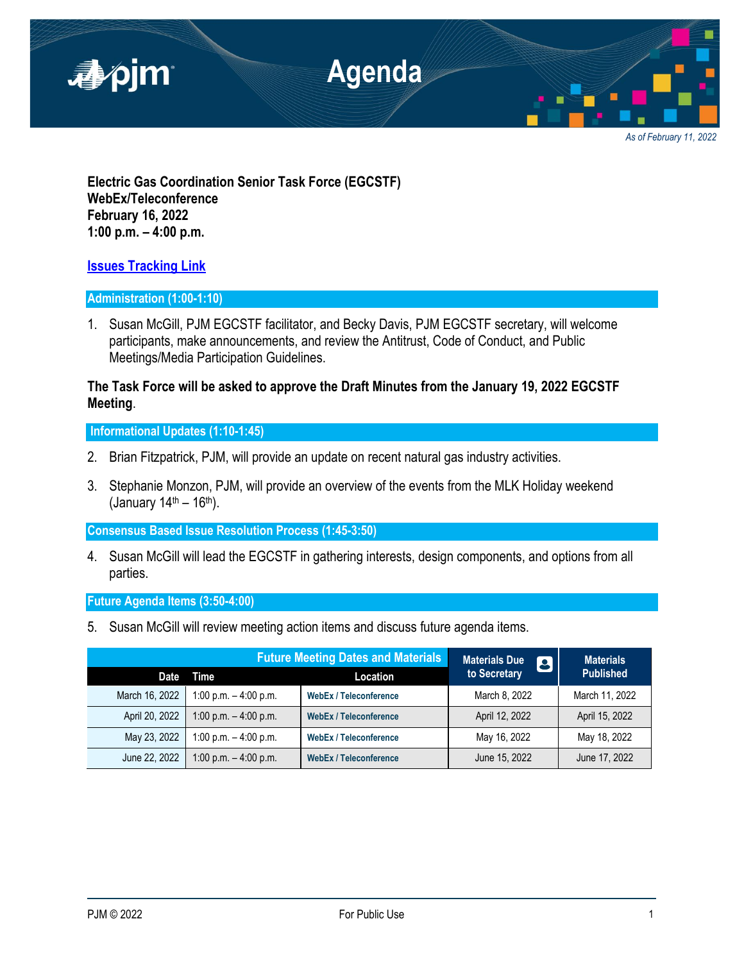

*As of February 11, 2022*

**Electric Gas Coordination Senior Task Force (EGCSTF) WebEx/Teleconference February 16, 2022 1:00 p.m. – 4:00 p.m.**

# **[Issues Tracking Link](https://www.pjm.com/committees-and-groups/issue-tracking/issue-tracking-details.aspx?Issue=e3c8385c-0638-4a1d-a5d2-8b1a2a87c295)**

# **Administration (1:00-1:10)**

1. Susan McGill, PJM EGCSTF facilitator, and Becky Davis, PJM EGCSTF secretary, will welcome participants, make announcements, and review the Antitrust, Code of Conduct, and Public Meetings/Media Participation Guidelines.

# **The Task Force will be asked to approve the Draft Minutes from the January 19, 2022 EGCSTF Meeting**.

**Informational Updates (1:10-1:45)**

- 2. Brian Fitzpatrick, PJM, will provide an update on recent natural gas industry activities.
- 3. Stephanie Monzon, PJM, will provide an overview of the events from the MLK Holiday weekend (January  $14^{\text{th}} - 16^{\text{th}}$ ).

**Consensus Based Issue Resolution Process (1:45-3:50)**

4. Susan McGill will lead the EGCSTF in gathering interests, design components, and options from all parties.

**Future Agenda Items (3:50-4:00)**

5. Susan McGill will review meeting action items and discuss future agenda items.

|                | <b>Future Meeting Dates and Materials</b> |                               | <b>Materials Due</b><br>8 | <b>Materials</b> |
|----------------|-------------------------------------------|-------------------------------|---------------------------|------------------|
| <b>Date</b>    | Time                                      | Location                      | to Secretary              | <b>Published</b> |
| March 16, 2022 | 1:00 p.m. $-$ 4:00 p.m.                   | <b>WebEx / Teleconference</b> | March 8, 2022             | March 11, 2022   |
| April 20, 2022 | 1:00 p.m. $-$ 4:00 p.m.                   | <b>WebEx / Teleconference</b> | April 12, 2022            | April 15, 2022   |
| May 23, 2022   | 1:00 p.m. $-$ 4:00 p.m.                   | <b>WebEx / Teleconference</b> | May 16, 2022              | May 18, 2022     |
| June 22, 2022  | 1:00 p.m. $-$ 4:00 p.m.                   | <b>WebEx / Teleconference</b> | June 15, 2022             | June 17, 2022    |